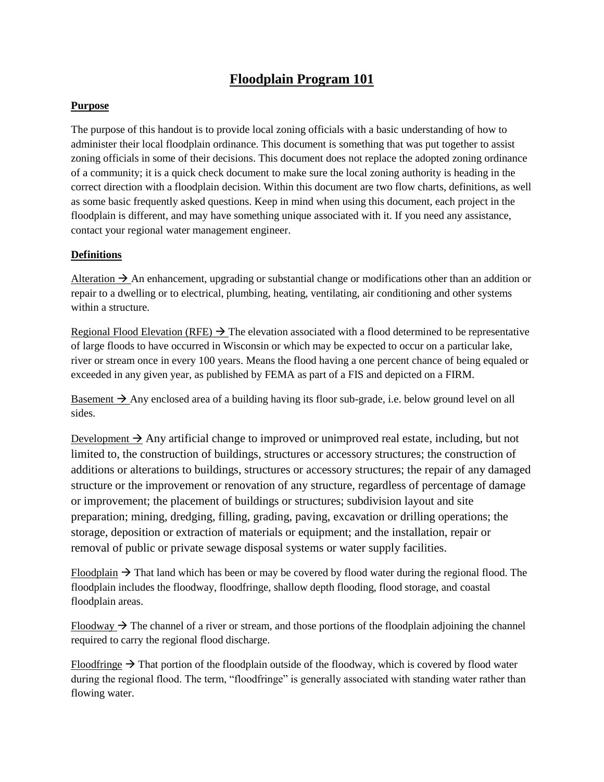# **Floodplain Program 101**

## **Purpose**

The purpose of this handout is to provide local zoning officials with a basic understanding of how to administer their local floodplain ordinance. This document is something that was put together to assist zoning officials in some of their decisions. This document does not replace the adopted zoning ordinance of a community; it is a quick check document to make sure the local zoning authority is heading in the correct direction with a floodplain decision. Within this document are two flow charts, definitions, as well as some basic frequently asked questions. Keep in mind when using this document, each project in the floodplain is different, and may have something unique associated with it. If you need any assistance, contact your regional water management engineer.

## **Definitions**

Alteration  $\rightarrow$  An enhancement, upgrading or substantial change or modifications other than an addition or repair to a dwelling or to electrical, plumbing, heating, ventilating, air conditioning and other systems within a structure.

Regional Flood Elevation (RFE)  $\rightarrow$  The elevation associated with a flood determined to be representative of large floods to have occurred in Wisconsin or which may be expected to occur on a particular lake, river or stream once in every 100 years. Means the flood having a one percent chance of being equaled or exceeded in any given year, as published by FEMA as part of a FIS and depicted on a FIRM.

Basement  $\rightarrow$  Any enclosed area of a building having its floor sub-grade, i.e. below ground level on all sides.

Development  $\rightarrow$  Any artificial change to improved or unimproved real estate, including, but not limited to, the construction of buildings, structures or accessory structures; the construction of additions or alterations to buildings, structures or accessory structures; the repair of any damaged structure or the improvement or renovation of any structure, regardless of percentage of damage or improvement; the placement of buildings or structures; subdivision layout and site preparation; mining, dredging, filling, grading, paving, excavation or drilling operations; the storage, deposition or extraction of materials or equipment; and the installation, repair or removal of public or private sewage disposal systems or water supply facilities.

Floodplain  $\rightarrow$  That land which has been or may be covered by flood water during the regional flood. The floodplain includes the floodway, floodfringe, shallow depth flooding, flood storage, and coastal floodplain areas.

Floodway  $\rightarrow$  The channel of a river or stream, and those portions of the floodplain adjoining the channel required to carry the regional flood discharge.

Floodfringe  $\rightarrow$  That portion of the floodplain outside of the floodway, which is covered by flood water during the regional flood. The term, "floodfringe" is generally associated with standing water rather than flowing water.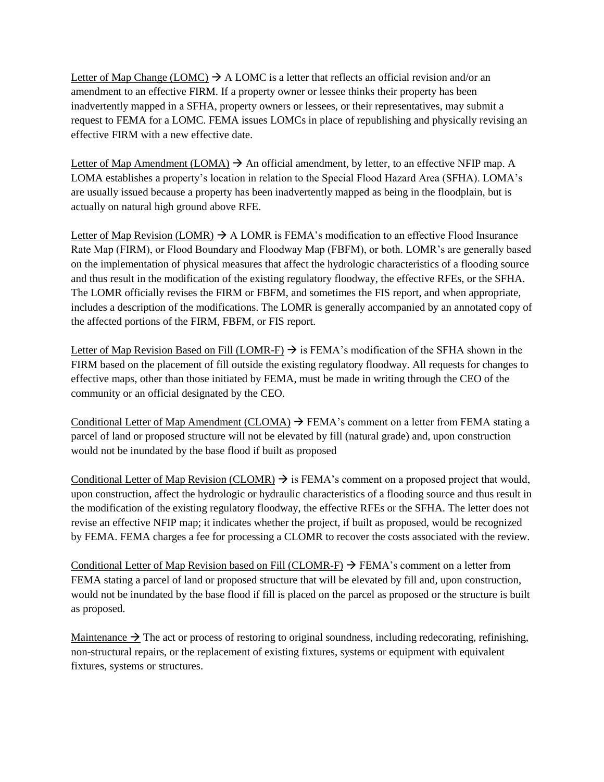Letter of Map Change (LOMC)  $\rightarrow$  A LOMC is a letter that reflects an official revision and/or an amendment to an effective FIRM. If a property owner or lessee thinks their property has been inadvertently mapped in a SFHA, property owners or lessees, or their representatives, may submit a request to FEMA for a LOMC. FEMA issues LOMCs in place of republishing and physically revising an effective FIRM with a new effective date.

Letter of Map Amendment (LOMA)  $\rightarrow$  An official amendment, by letter, to an effective NFIP map. A LOMA establishes a property's location in relation to the Special Flood Hazard Area (SFHA). LOMA's are usually issued because a property has been inadvertently mapped as being in the floodplain, but is actually on natural high ground above RFE.

Letter of Map Revision (LOMR)  $\rightarrow$  A LOMR is FEMA's modification to an effective Flood Insurance Rate Map (FIRM), or Flood Boundary and Floodway Map (FBFM), or both. LOMR's are generally based on the implementation of physical measures that affect the hydrologic characteristics of a flooding source and thus result in the modification of the existing regulatory floodway, the effective RFEs, or the SFHA. The LOMR officially revises the FIRM or FBFM, and sometimes the FIS report, and when appropriate, includes a description of the modifications. The LOMR is generally accompanied by an annotated copy of the affected portions of the FIRM, FBFM, or FIS report.

Letter of Map Revision Based on Fill (LOMR-F)  $\rightarrow$  is FEMA's modification of the SFHA shown in the FIRM based on the placement of fill outside the existing regulatory floodway. All requests for changes to effective maps, other than those initiated by FEMA, must be made in writing through the CEO of the community or an official designated by the CEO.

Conditional Letter of Map Amendment (CLOMA)  $\rightarrow$  FEMA's comment on a letter from FEMA stating a parcel of land or proposed structure will not be elevated by fill (natural grade) and, upon construction would not be inundated by the base flood if built as proposed

Conditional Letter of Map Revision (CLOMR)  $\rightarrow$  is FEMA's comment on a proposed project that would, upon construction, affect the hydrologic or hydraulic characteristics of a flooding source and thus result in the modification of the existing regulatory floodway, the effective RFEs or the SFHA. The letter does not revise an effective NFIP map; it indicates whether the project, if built as proposed, would be recognized by FEMA. FEMA charges a fee for processing a CLOMR to recover the costs associated with the review.

Conditional Letter of Map Revision based on Fill (CLOMR-F)  $\rightarrow$  FEMA's comment on a letter from FEMA stating a parcel of land or proposed structure that will be elevated by fill and, upon construction, would not be inundated by the base flood if fill is placed on the parcel as proposed or the structure is built as proposed.

Maintenance  $\rightarrow$  The act or process of restoring to original soundness, including redecorating, refinishing, non-structural repairs, or the replacement of existing fixtures, systems or equipment with equivalent fixtures, systems or structures.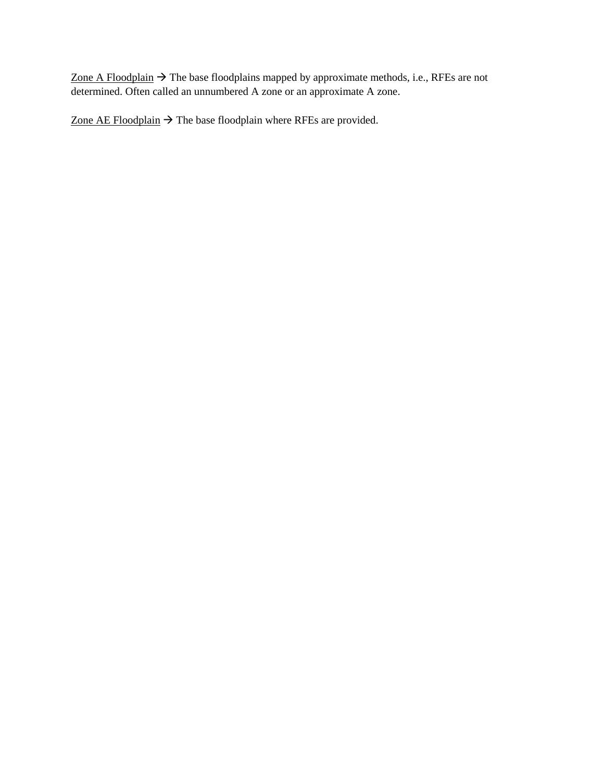Zone A Floodplain  $\rightarrow$  The base floodplains mapped by approximate methods, i.e., RFEs are not determined. Often called an unnumbered A zone or an approximate A zone.

Zone AE Floodplain  $\rightarrow$  The base floodplain where RFEs are provided.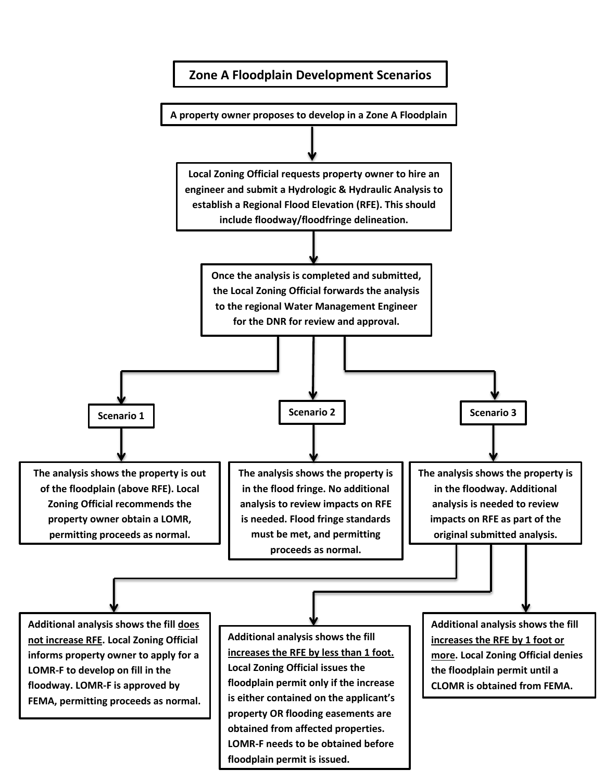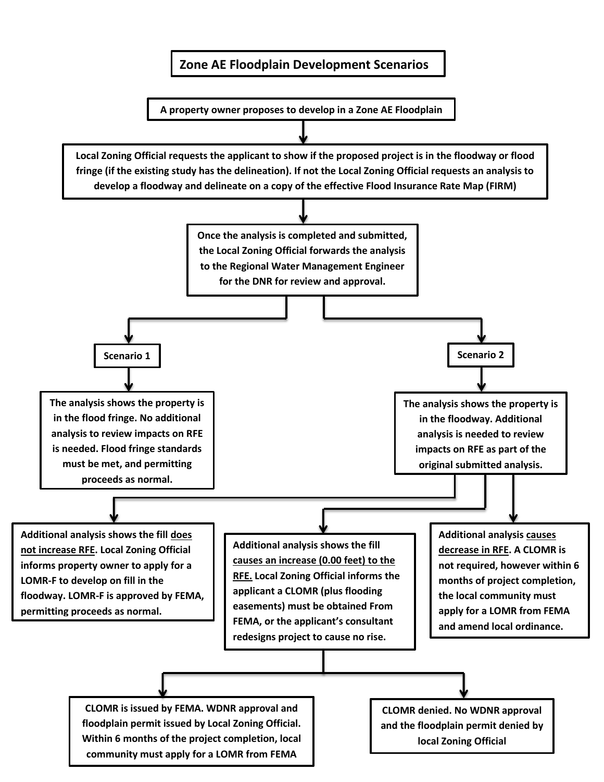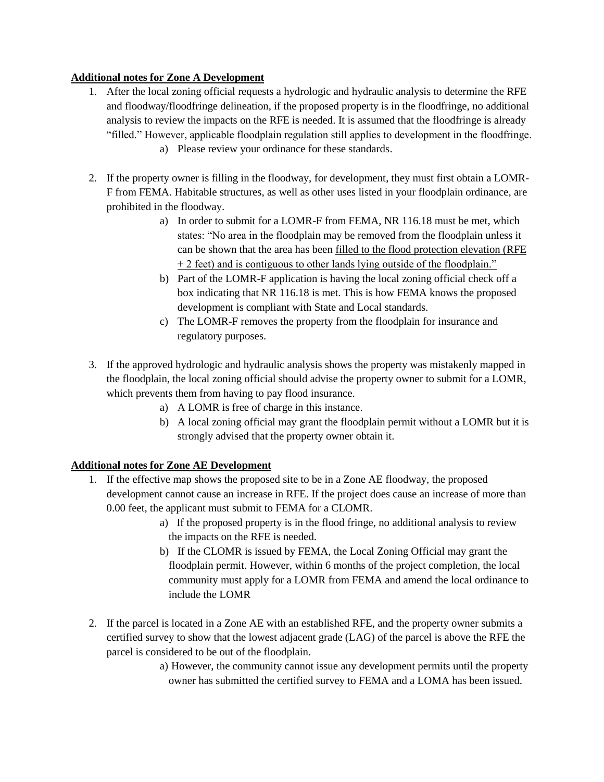## **Additional notes for Zone A Development**

- 1. After the local zoning official requests a hydrologic and hydraulic analysis to determine the RFE and floodway/floodfringe delineation, if the proposed property is in the floodfringe, no additional analysis to review the impacts on the RFE is needed. It is assumed that the floodfringe is already "filled." However, applicable floodplain regulation still applies to development in the floodfringe.
	- a) Please review your ordinance for these standards.
- 2. If the property owner is filling in the floodway, for development, they must first obtain a LOMR-F from FEMA. Habitable structures, as well as other uses listed in your floodplain ordinance, are prohibited in the floodway.
	- a) In order to submit for a LOMR-F from FEMA, NR 116.18 must be met, which states: "No area in the floodplain may be removed from the floodplain unless it can be shown that the area has been filled to the flood protection elevation (RFE + 2 feet) and is contiguous to other lands lying outside of the floodplain."
	- b) Part of the LOMR-F application is having the local zoning official check off a box indicating that NR 116.18 is met. This is how FEMA knows the proposed development is compliant with State and Local standards.
	- c) The LOMR-F removes the property from the floodplain for insurance and regulatory purposes.
- 3. If the approved hydrologic and hydraulic analysis shows the property was mistakenly mapped in the floodplain, the local zoning official should advise the property owner to submit for a LOMR, which prevents them from having to pay flood insurance.
	- a) A LOMR is free of charge in this instance.
	- b) A local zoning official may grant the floodplain permit without a LOMR but it is strongly advised that the property owner obtain it.

## **Additional notes for Zone AE Development**

- 1. If the effective map shows the proposed site to be in a Zone AE floodway, the proposed development cannot cause an increase in RFE. If the project does cause an increase of more than 0.00 feet, the applicant must submit to FEMA for a CLOMR.
	- a) If the proposed property is in the flood fringe, no additional analysis to review the impacts on the RFE is needed.
	- b) If the CLOMR is issued by FEMA, the Local Zoning Official may grant the floodplain permit. However, within 6 months of the project completion, the local community must apply for a LOMR from FEMA and amend the local ordinance to include the LOMR
- 2. If the parcel is located in a Zone AE with an established RFE, and the property owner submits a certified survey to show that the lowest adjacent grade (LAG) of the parcel is above the RFE the parcel is considered to be out of the floodplain.
	- a) However, the community cannot issue any development permits until the property owner has submitted the certified survey to FEMA and a LOMA has been issued.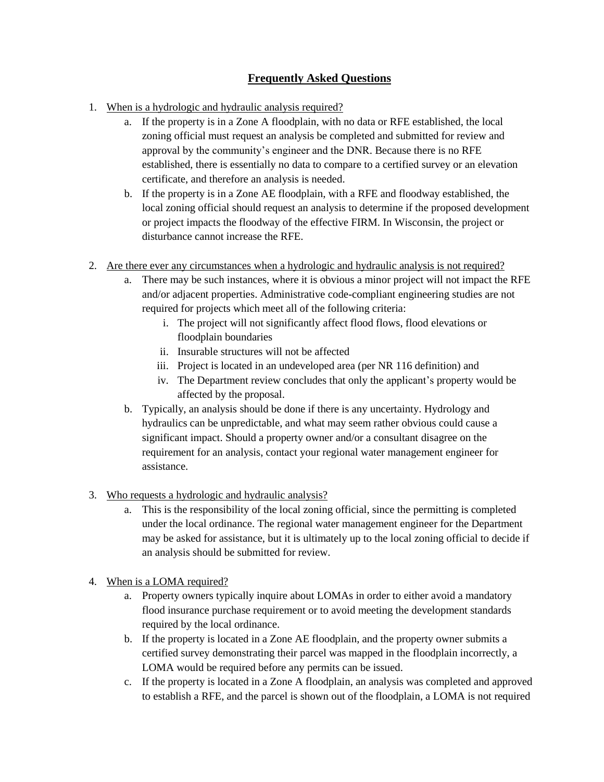# **Frequently Asked Questions**

- 1. When is a hydrologic and hydraulic analysis required?
	- a. If the property is in a Zone A floodplain, with no data or RFE established, the local zoning official must request an analysis be completed and submitted for review and approval by the community's engineer and the DNR. Because there is no RFE established, there is essentially no data to compare to a certified survey or an elevation certificate, and therefore an analysis is needed.
	- b. If the property is in a Zone AE floodplain, with a RFE and floodway established, the local zoning official should request an analysis to determine if the proposed development or project impacts the floodway of the effective FIRM. In Wisconsin, the project or disturbance cannot increase the RFE.
- 2. Are there ever any circumstances when a hydrologic and hydraulic analysis is not required?
	- a. There may be such instances, where it is obvious a minor project will not impact the RFE and/or adjacent properties. Administrative code-compliant engineering studies are not required for projects which meet all of the following criteria:
		- i. The project will not significantly affect flood flows, flood elevations or floodplain boundaries
		- ii. Insurable structures will not be affected
		- iii. Project is located in an undeveloped area (per NR 116 definition) and
		- iv. The Department review concludes that only the applicant's property would be affected by the proposal.
	- b. Typically, an analysis should be done if there is any uncertainty. Hydrology and hydraulics can be unpredictable, and what may seem rather obvious could cause a significant impact. Should a property owner and/or a consultant disagree on the requirement for an analysis, contact your regional water management engineer for assistance.
- 3. Who requests a hydrologic and hydraulic analysis?
	- a. This is the responsibility of the local zoning official, since the permitting is completed under the local ordinance. The regional water management engineer for the Department may be asked for assistance, but it is ultimately up to the local zoning official to decide if an analysis should be submitted for review.
- 4. When is a LOMA required?
	- a. Property owners typically inquire about LOMAs in order to either avoid a mandatory flood insurance purchase requirement or to avoid meeting the development standards required by the local ordinance.
	- b. If the property is located in a Zone AE floodplain, and the property owner submits a certified survey demonstrating their parcel was mapped in the floodplain incorrectly, a LOMA would be required before any permits can be issued.
	- c. If the property is located in a Zone A floodplain, an analysis was completed and approved to establish a RFE, and the parcel is shown out of the floodplain, a LOMA is not required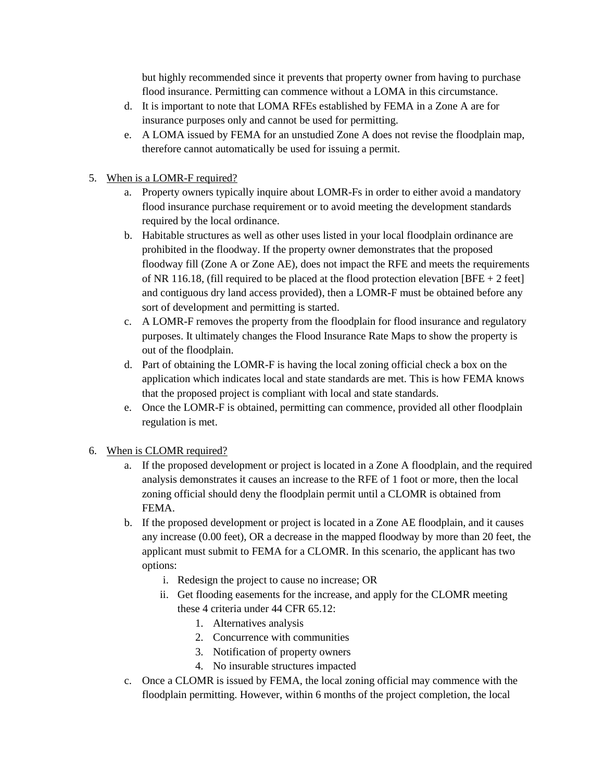but highly recommended since it prevents that property owner from having to purchase flood insurance. Permitting can commence without a LOMA in this circumstance.

- d. It is important to note that LOMA RFEs established by FEMA in a Zone A are for insurance purposes only and cannot be used for permitting.
- e. A LOMA issued by FEMA for an unstudied Zone A does not revise the floodplain map, therefore cannot automatically be used for issuing a permit.
- 5. When is a LOMR-F required?
	- a. Property owners typically inquire about LOMR-Fs in order to either avoid a mandatory flood insurance purchase requirement or to avoid meeting the development standards required by the local ordinance.
	- b. Habitable structures as well as other uses listed in your local floodplain ordinance are prohibited in the floodway. If the property owner demonstrates that the proposed floodway fill (Zone A or Zone AE), does not impact the RFE and meets the requirements of NR 116.18, (fill required to be placed at the flood protection elevation  $[BFE + 2 feet]$ and contiguous dry land access provided), then a LOMR-F must be obtained before any sort of development and permitting is started.
	- c. A LOMR-F removes the property from the floodplain for flood insurance and regulatory purposes. It ultimately changes the Flood Insurance Rate Maps to show the property is out of the floodplain.
	- d. Part of obtaining the LOMR-F is having the local zoning official check a box on the application which indicates local and state standards are met. This is how FEMA knows that the proposed project is compliant with local and state standards.
	- e. Once the LOMR-F is obtained, permitting can commence, provided all other floodplain regulation is met.
- 6. When is CLOMR required?
	- a. If the proposed development or project is located in a Zone A floodplain, and the required analysis demonstrates it causes an increase to the RFE of 1 foot or more, then the local zoning official should deny the floodplain permit until a CLOMR is obtained from FEMA.
	- b. If the proposed development or project is located in a Zone AE floodplain, and it causes any increase (0.00 feet), OR a decrease in the mapped floodway by more than 20 feet, the applicant must submit to FEMA for a CLOMR. In this scenario, the applicant has two options:
		- i. Redesign the project to cause no increase; OR
		- ii. Get flooding easements for the increase, and apply for the CLOMR meeting these 4 criteria under 44 CFR 65.12:
			- 1. Alternatives analysis
			- 2. Concurrence with communities
			- 3. Notification of property owners
			- 4. No insurable structures impacted
	- c. Once a CLOMR is issued by FEMA, the local zoning official may commence with the floodplain permitting. However, within 6 months of the project completion, the local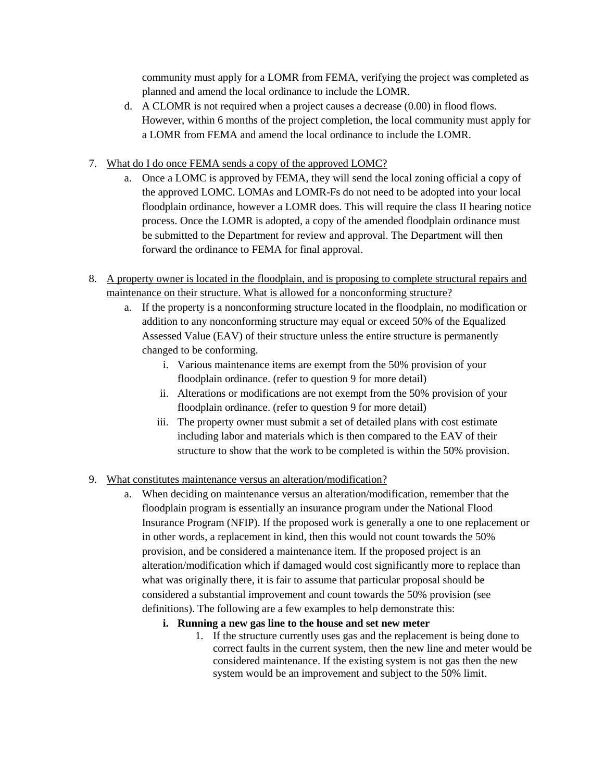community must apply for a LOMR from FEMA, verifying the project was completed as planned and amend the local ordinance to include the LOMR.

- d. A CLOMR is not required when a project causes a decrease (0.00) in flood flows. However, within 6 months of the project completion, the local community must apply for a LOMR from FEMA and amend the local ordinance to include the LOMR.
- 7. What do I do once FEMA sends a copy of the approved LOMC?
	- a. Once a LOMC is approved by FEMA, they will send the local zoning official a copy of the approved LOMC. LOMAs and LOMR-Fs do not need to be adopted into your local floodplain ordinance, however a LOMR does. This will require the class II hearing notice process. Once the LOMR is adopted, a copy of the amended floodplain ordinance must be submitted to the Department for review and approval. The Department will then forward the ordinance to FEMA for final approval.
- 8. A property owner is located in the floodplain, and is proposing to complete structural repairs and maintenance on their structure. What is allowed for a nonconforming structure?
	- a. If the property is a nonconforming structure located in the floodplain, no modification or addition to any nonconforming structure may equal or exceed 50% of the Equalized Assessed Value (EAV) of their structure unless the entire structure is permanently changed to be conforming.
		- i. Various maintenance items are exempt from the 50% provision of your floodplain ordinance. (refer to question 9 for more detail)
		- ii. Alterations or modifications are not exempt from the 50% provision of your floodplain ordinance. (refer to question 9 for more detail)
		- iii. The property owner must submit a set of detailed plans with cost estimate including labor and materials which is then compared to the EAV of their structure to show that the work to be completed is within the 50% provision.

# 9. What constitutes maintenance versus an alteration/modification?

- a. When deciding on maintenance versus an alteration/modification, remember that the floodplain program is essentially an insurance program under the National Flood Insurance Program (NFIP). If the proposed work is generally a one to one replacement or in other words, a replacement in kind, then this would not count towards the 50% provision, and be considered a maintenance item. If the proposed project is an alteration/modification which if damaged would cost significantly more to replace than what was originally there, it is fair to assume that particular proposal should be considered a substantial improvement and count towards the 50% provision (see definitions). The following are a few examples to help demonstrate this:
	- **i. Running a new gas line to the house and set new meter**
		- 1. If the structure currently uses gas and the replacement is being done to correct faults in the current system, then the new line and meter would be considered maintenance. If the existing system is not gas then the new system would be an improvement and subject to the 50% limit.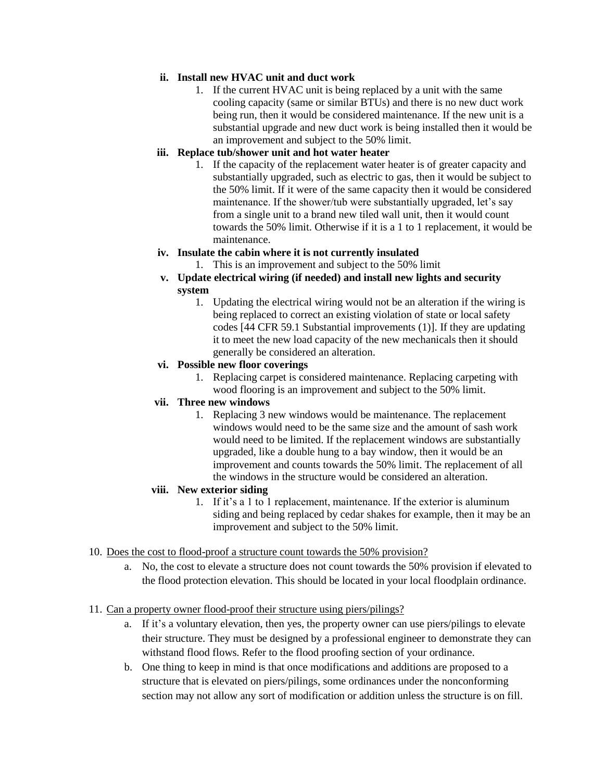#### **ii. Install new HVAC unit and duct work**

1. If the current HVAC unit is being replaced by a unit with the same cooling capacity (same or similar BTUs) and there is no new duct work being run, then it would be considered maintenance. If the new unit is a substantial upgrade and new duct work is being installed then it would be an improvement and subject to the 50% limit.

## **iii. Replace tub/shower unit and hot water heater**

1. If the capacity of the replacement water heater is of greater capacity and substantially upgraded, such as electric to gas, then it would be subject to the 50% limit. If it were of the same capacity then it would be considered maintenance. If the shower/tub were substantially upgraded, let's say from a single unit to a brand new tiled wall unit, then it would count towards the 50% limit. Otherwise if it is a 1 to 1 replacement, it would be maintenance.

## **iv. Insulate the cabin where it is not currently insulated**

- 1. This is an improvement and subject to the 50% limit
- **v. Update electrical wiring (if needed) and install new lights and security system**
	- 1. Updating the electrical wiring would not be an alteration if the wiring is being replaced to correct an existing violation of state or local safety codes [44 CFR 59.1 Substantial improvements (1)]. If they are updating it to meet the new load capacity of the new mechanicals then it should generally be considered an alteration.

#### **vi. Possible new floor coverings**

1. Replacing carpet is considered maintenance. Replacing carpeting with wood flooring is an improvement and subject to the 50% limit.

# **vii. Three new windows**

1. Replacing 3 new windows would be maintenance. The replacement windows would need to be the same size and the amount of sash work would need to be limited. If the replacement windows are substantially upgraded, like a double hung to a bay window, then it would be an improvement and counts towards the 50% limit. The replacement of all the windows in the structure would be considered an alteration.

## **viii. New exterior siding**

1. If it's a 1 to 1 replacement, maintenance. If the exterior is aluminum siding and being replaced by cedar shakes for example, then it may be an improvement and subject to the 50% limit.

#### 10. Does the cost to flood-proof a structure count towards the 50% provision?

a. No, the cost to elevate a structure does not count towards the 50% provision if elevated to the flood protection elevation. This should be located in your local floodplain ordinance.

#### 11. Can a property owner flood-proof their structure using piers/pilings?

- a. If it's a voluntary elevation, then yes, the property owner can use piers/pilings to elevate their structure. They must be designed by a professional engineer to demonstrate they can withstand flood flows. Refer to the flood proofing section of your ordinance.
- b. One thing to keep in mind is that once modifications and additions are proposed to a structure that is elevated on piers/pilings, some ordinances under the nonconforming section may not allow any sort of modification or addition unless the structure is on fill.